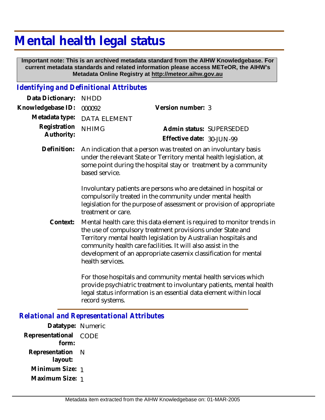# **Mental health legal status**

 **Important note: This is an archived metadata standard from the AIHW Knowledgebase. For current metadata standards and related information please access METeOR, the AIHW's Metadata Online Registry at http://meteor.aihw.gov.au**

#### *Identifying and Definitional Attributes*

| Data Dictionary:           | <b>NHDD</b>                                                                                                                                                                                                                                                                                                                                                                                                                                                 |                                                       |  |
|----------------------------|-------------------------------------------------------------------------------------------------------------------------------------------------------------------------------------------------------------------------------------------------------------------------------------------------------------------------------------------------------------------------------------------------------------------------------------------------------------|-------------------------------------------------------|--|
| Knowledgebase ID:          | 000092                                                                                                                                                                                                                                                                                                                                                                                                                                                      | Version number: 3                                     |  |
| Metadata type:             | <b>DATA ELEMENT</b>                                                                                                                                                                                                                                                                                                                                                                                                                                         |                                                       |  |
| Registration<br>Authority: | <b>NHIMG</b>                                                                                                                                                                                                                                                                                                                                                                                                                                                | Admin status: SUPERSEDED<br>Effective date: 30-JUN-99 |  |
| Definition:                | An indication that a person was treated on an involuntary basis<br>under the relevant State or Territory mental health legislation, at<br>some point during the hospital stay or treatment by a community<br>based service.<br>Involuntary patients are persons who are detained in hospital or<br>compulsorily treated in the community under mental health<br>legislation for the purpose of assessment or provision of appropriate<br>treatment or care. |                                                       |  |
| Context:                   | Mental health care: this data element is required to monitor trends in<br>the use of compulsory treatment provisions under State and<br>Territory mental health legislation by Australian hospitals and<br>community health care facilities. It will also assist in the<br>development of an appropriate casemix classification for mental                                                                                                                  |                                                       |  |

For those hospitals and community mental health services which provide psychiatric treatment to involuntary patients, mental health legal status information is an essential data element within local record systems.

#### *Relational and Representational Attributes*

health services.

**Datatype:** Numeric **Representational** CODE  **form: Representation** N  **layout: Minimum Size:** 1 **Maximum Size:** 1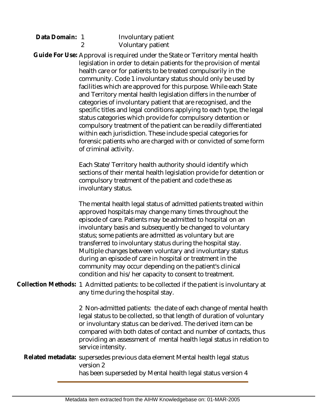| Data Domain: 1 | Involuntary patier |
|----------------|--------------------|
|                | Voluntary patient  |

Guide For Use: Approval is required under the State or Territory mental health legislation in order to detain patients for the provision of mental health care or for patients to be treated compulsorily in the community. Code 1 involuntary status should only be used by facilities which are approved for this purpose. While each State and Territory mental health legislation differs in the number of categories of involuntary patient that are recognised, and the specific titles and legal conditions applying to each type, the legal status categories which provide for compulsory detention or compulsory treatment of the patient can be readily differentiated within each jurisdiction. These include special categories for forensic patients who are charged with or convicted of some form of criminal activity.

> Each State/Territory health authority should identify which sections of their mental health legislation provide for detention or compulsory treatment of the patient and code these as involuntary status.

ient

The mental health legal status of admitted patients treated within approved hospitals may change many times throughout the episode of care. Patients may be admitted to hospital on an involuntary basis and subsequently be changed to voluntary status; some patients are admitted as voluntary but are transferred to involuntary status during the hospital stay. Multiple changes between voluntary and involuntary status during an episode of care in hospital or treatment in the community may occur depending on the patient's clinical condition and his/her capacity to consent to treatment.

Collection Methods: 1 Admitted patients: to be collected if the patient is involuntary at any time during the hospital stay.

> 2 Non-admitted patients: the date of each change of mental health legal status to be collected, so that length of duration of voluntary or involuntary status can be derived. The derived item can be compared with both dates of contact and number of contacts, thus providing an assessment of mental health legal status in relation to service intensity.

Related metadata: supersedes previous data element Mental health legal status version 2

has been superseded by Mental health legal status version 4